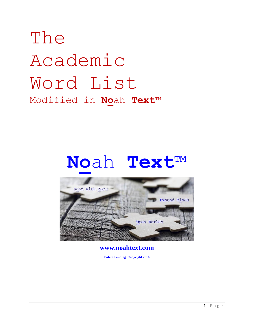# The Academic Word List Modified in **No**ah **Text**™

# **No**ah **Text**™



**www.noahtext.com**

**Patent Pending, Copyright 2016**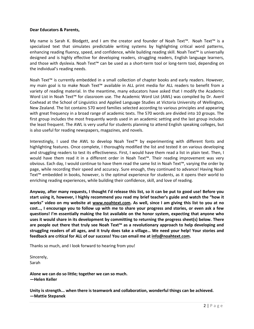#### **Dear Educators & Parents,**

My name is Sarah K. Blodgett, and I am the creator and founder of Noah Text™. Noah Text™ is a specialized text that simulates predictable writing systems by highlighting critical word patterns, enhancing reading fluency, speed, and confidence, while building reading skill. Noah Text™ is universally designed and is highly effective for developing readers, struggling readers, English language learners, and those with dyslexia. Noah Text™ can be used as a short-term tool or long-term tool, depending on the individual's reading needs.

Noah Text™ is currently embedded in a small collection of chapter books and early readers. However, my main goal is to make Noah Text™ available in ALL print media for ALL readers to benefit from a variety of reading material. In the meantime, many educators have asked that I modify the Academic Word List in Noah Text™ for classroom use. The Academic Word List (AWL) was compiled by Dr. Averil Coxhead at the School of Linguistics and Applied Language Studies at Victoria University of Wellington, New Zealand. The list contains 570 word families selected according to various principles and appearing with great frequency in a broad range of academic texts. The 570 words are divided into 10 groups. The first group includes the most frequently words used in an academic setting and the last group includes the least frequent. The AWL is very useful for students planning to attend English speaking colleges, but is also useful for reading newspapers, magazines, and novels.

Interestingly, I used the AWL to develop Noah Text™ by experimenting with different fonts and highlighting features. Once complete, I thoroughly modified the list and tested it on various developing and struggling readers to test its effectiveness. First, I would have them read a list in plain text. Then, I would have them read it in a different order in Noah Text™. Their reading improvement was very obvious. Each day, I would continue to have them read the same list in Noah Text™, varying the order by page, while recording their speed and accuracy. Sure enough, they continued to advance! Having Noah Text™ embedded in books, however, is the optimal experience for students, as it opens their world to enriching reading experiences, while building their confidence, skill, and love of reading.

**Anyway, after many requests, I thought I'd release this list, so it can be put to good use! Before you start using it, however, I highly recommend you read my brief teacher's guide and watch the "how it works" video on my website at [www.noahtext.com.](http://www.noahtext.com/) As well, since I am giving this list to you at no cost…, I encourage you to follow up with me to share your progress and stories, or even ask a few questions! I'm essentially making the list available on the honor system, expecting that anyone who uses it would share in its development by committing to returning the progress sheet(s) below. There are people out there that truly see Noah Text™ as a revolutionary approach to help developing and struggling readers of all ages, and it truly does take a village… We need your help! Your stories and feedback are critical for ALL of our success! You can email me a[t info@noahtext.com.](mailto:info@noahtext.com)** 

Thanks so much, and I look forward to hearing from you!

Sincerely, Sarah

**Alone we can do so little; together we can so much. —Helen Keller**

**Unity is strength... when there is teamwork and collaboration, wonderful things can be achieved. —Mattie Stepanek**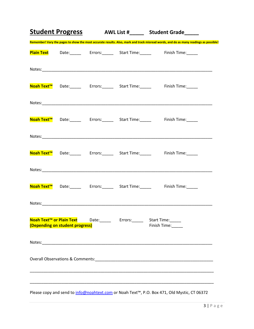|                                 |  | <b>Student Progress</b> AWL List #_____ Student Grade____                                                                            |
|---------------------------------|--|--------------------------------------------------------------------------------------------------------------------------------------|
|                                 |  | Remember! Vary the pages to show the most accurate results. Also, mark and track misread words, and do as many readings as possible! |
|                                 |  | Plain Text Date: Frors: Start Time: Finish Time:                                                                                     |
|                                 |  |                                                                                                                                      |
|                                 |  | Noah Text <sup>™</sup> Date:________ Errors:_______ Start Time:_______ Finish Time:______                                            |
|                                 |  |                                                                                                                                      |
|                                 |  | Noah Text <sup>™</sup> Date:________ Errors:_______ Start Time:_______ Finish Time:______                                            |
|                                 |  |                                                                                                                                      |
|                                 |  | Noah Text <sup>™</sup> Date:________ Errors:_______ Start Time:_______ Finish Time:______                                            |
|                                 |  |                                                                                                                                      |
|                                 |  | Noah Text <sup>™</sup> Date:________ Errors:_______ Start Time:_______ Finish Time:______                                            |
|                                 |  |                                                                                                                                      |
| (Depending on student progress) |  | Noah Text™ or Plain Text Date: Fig. 2010 Errors: Start Time: Fig. 2011<br>Finish Time:                                               |
|                                 |  |                                                                                                                                      |
|                                 |  |                                                                                                                                      |
|                                 |  |                                                                                                                                      |
|                                 |  | Please copy and send to info@noahtext.com or Noah Text™, P.O. Box 471, Old Mystic, CT 06372                                          |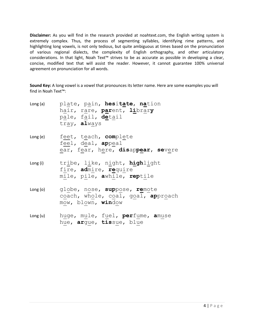**Disclaimer:** As you will find in the research provided at noahtext.com, the English writing system is extremely complex. Thus, the process of segmenting syllables, identifying rime patterns, and highlighting long vowels, is not only tedious, but quite ambiguous at times based on the pronunciation of various regional dialects, the complexity of English orthography, and other articulatory considerations. In that light, Noah Text™ strives to be as accurate as possible in developing a clear, concise, modified text that will assist the reader. However, it cannot guarantee 100% universal agreement on pronunciation for all words.

**Sound Key:** A long vowel is a vowel that pronounces its letter name. Here are some examples you will find in Noah Text™:

| Long(a) plate, pain, hesitate, nation<br>hair, rare, parent, library<br>pale, fail, detail<br>tray, always |
|------------------------------------------------------------------------------------------------------------|
| feel, deal, appeal<br>ear, fear, here, disappear, severe                                                   |
| Long(i)     tribe, like, night, highlight<br>fire, admire, require<br>mile, pile, awhile, reptile          |
| Long(o) - globe, nose, suppose, remote<br>coach, whole, coal, goal, approach<br>mow, blown, window         |
| Long(u) huge, mule, fuel, perfume, amuse<br>hue, argue, tissue, blue                                       |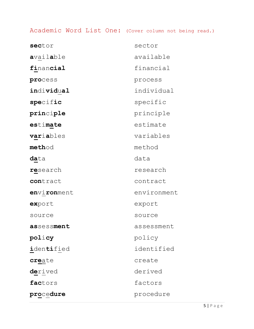# Academic Word List One: (Cover column not being read.)

| sector          | sector      |
|-----------------|-------------|
| available       | available   |
| financial       | financial   |
| process         | process     |
| individual      | individual  |
| specific        | specific    |
| principle       | principle   |
| estimate        | estimate    |
| variables       | variables   |
| method          | method      |
| <b>da</b> ta    | data        |
| research        | research    |
| contract        | contract    |
| environment     | environment |
| export          | export      |
| source          | source      |
| assessment      | assessment  |
| policy          | policy      |
| identified      | identified  |
| create          | create      |
| <b>de</b> rived | derived     |
| factors         | factors     |
| procedure       | procedure   |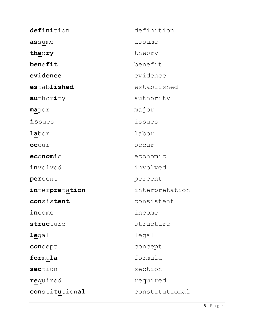| definition        | definition     |
|-------------------|----------------|
| assume            | assume         |
| theory            | theory         |
| benefit           | benefit        |
| evidence          | evidence       |
| established       | established    |
| <b>au</b> thority | authority      |
| <b>ma</b> jor     | major          |
| <i>issues</i>     | issues         |
| <b>la</b> bor     | labor          |
| occur             | occur          |
| economic          | economic       |
| involved          | involved       |
| percent           | percent        |
| interpretation    | interpretation |
| consistent        | consistent     |
| income            | income         |
| structure         | structure      |
| legal             | legal          |
| concept           | concept        |
| formula           | formula        |
| section           | section        |
| required          | required       |
| constitutional    | constitutional |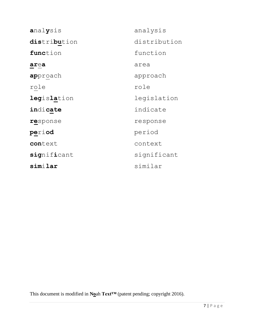| analysis           | analysis     |
|--------------------|--------------|
| distribution       | distribution |
| function           | function     |
| area               | area         |
| approach           | approach     |
| role               | role         |
| <b>legislation</b> | legislation  |
| indicate           | indicate     |
| response           | response     |
| period             | period       |
| context            | context      |
| significant        | significant  |
| similar            | similar      |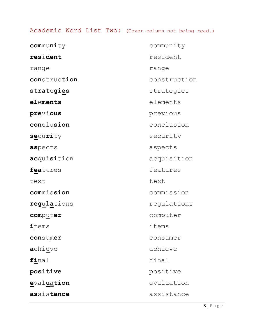## Academic Word List Two: (Cover column not being read.)

| community           | community    |
|---------------------|--------------|
| resident            | resident     |
| range               | range        |
| construction        | construction |
| strategies          | strategies   |
| ${\tt elements}$    | elements     |
| pr <u>e</u> vious   | previous     |
| conclusion          | conclusion   |
| security            | security     |
| aspects             | aspects      |
| acquisition         | acquisition  |
| features            | features     |
| text                | text         |
| commission          | commission   |
| regulations         | regulations  |
| computer            | computer     |
| ${\tt items}$       | items        |
| consumer            | consumer     |
| <b>a</b> chieve     | achieve      |
| final               | final        |
| positive            | positive     |
| evalu <u>a</u> tion | evaluation   |
| assistance          | assistance   |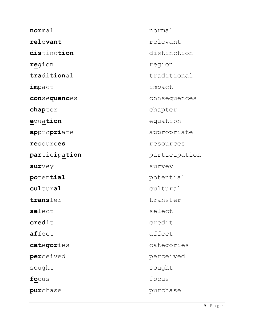**nor**mal normal relevant relevant **dis**tinc**tion** distinction **re**gion region **traditional** traditional **im**pact impact **con**se**quenc**es consequences **chapter** chapter **e**qua**tion** equation **ap**propriate appropriate **re**sourc**es** resources **par**tic**i**pa**tion** participation survey survey **po**ten**tial** potential **cul**tur**al** cultural **trans**fer transfer select select **credit** credit **af**fect affect **cat**e**gor**ies categories **per**ceived **perceived** sought sought **fo**cus focus **pur**chase purchase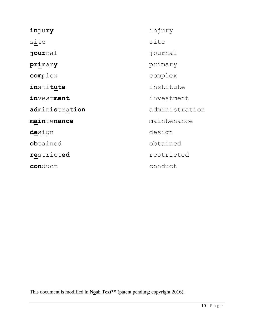| injury         | injury         |
|----------------|----------------|
| site           | site           |
| journal        | journal        |
| primary        | primary        |
| complex        | complex        |
| institute      | institute      |
| investment     | investment     |
| administration | administration |
| maintenance    | maintenance    |
| design         | design         |
| obtained       | obtained       |
| restricted     | restricted     |
| conduct        | conduct        |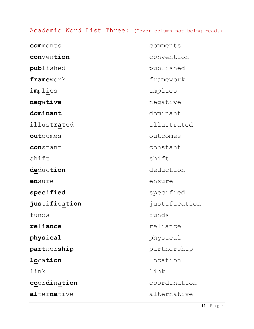## Academic Word List Three: (Cover column not being read.)

| comments           | comments      |
|--------------------|---------------|
| convention         | convention    |
| published          | published     |
| framework          | framework     |
| implies            | implies       |
| negative           | negative      |
| dominant           | dominant      |
| <i>illustrated</i> | illustrated   |
| outcomes           | outcomes      |
| constant           | constant      |
| shift              | shift         |
| deduction          | deduction     |
| ensure             | ensure        |
| specified          | specified     |
| justification      | justification |
| funds              | funds         |
| reliance           | reliance      |
| ${\tt physical}$   | physical      |
| partnership        | partnership   |
| location           | location      |
| link               | link          |
| coordination       | coordination  |
| alternative        | alternative   |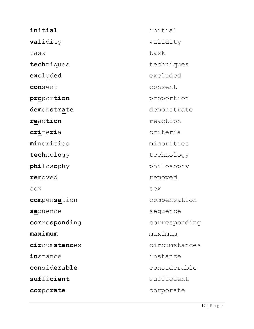| initial                     | initial       |
|-----------------------------|---------------|
| <b>va</b> lid <b>i</b> ty   | validity      |
| task                        | task          |
| techniques                  | techniques    |
| excluded                    | excluded      |
| consent                     | consent       |
| pr <u>oportion</u>          | proportion    |
| <b>demonstrate</b>          | demonstrate   |
| reaction                    | reaction      |
| <b>cri</b> teria            | criteria      |
| <b>mi</b> nor <b>i</b> ties | minorities    |
| technology                  | technology    |
| philosophy                  | philosophy    |
| removed                     | removed       |
| sex                         | sex           |
| compensation                | compensation  |
| s <u>e</u> quence           | sequence      |
| corresponding               | corresponding |
| maximum                     | maximum       |
| circumstances               | circumstances |
| instance                    | instance      |
| considerable                | considerable  |
| sufficient                  | sufficient    |
| corporate                   | corporate     |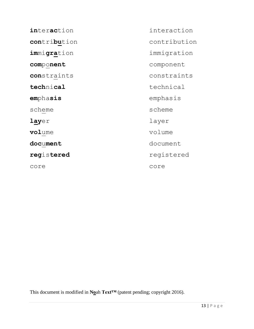| <i>interaction</i> | interaction  |
|--------------------|--------------|
| contribution       | contribution |
| immigration        | immigration  |
| component          | component    |
| constraints        | constraints  |
| technical          | technical    |
| emphasis           | emphasis     |
| scheme             | scheme       |
| layer              | layer        |
| volume             | volume       |
| document           | document     |
| registered         | registered   |
| core               | core         |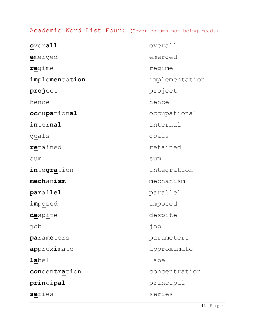Academic Word List Four: (Cover column not being read.)

| overall              | overall        |
|----------------------|----------------|
| emerged              | emerged        |
| regime               | regime         |
| implementation       | implementation |
| <b>proj</b> ect      | project        |
| hence                | hence          |
| occupational         | occupational   |
| internal             | internal       |
| goals                | goals          |
| retained             | retained       |
| sum                  | sum            |
| integr <u>a</u> tion | integration    |
| mechanism            | mechanism      |
| parallel             | parallel       |
| imposed              | imposed        |
| despite              | despite        |
| job                  | job            |
| parameters           | parameters     |
| approximate          | approximate    |
| <b>la</b> bel        | label          |
| concentration        | concentration  |
| $\verb!principal!$   | principal      |
| series               | series         |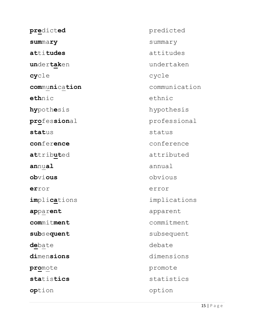**pre**dict**ed** predicted **sum**ma**ry** summary **at**ti**tudes** attitudes **un**der**tak**en undertaken **cy**cle cycle **com**mu**ni**ca**tion** communication **eth**nic ethnic **hy**pothesis hypothesis **pro**fes**sion**al professional **stat**us status **con**fer**ence** conference **at**trib**ut**ed attributed **an**nu**al** annual **ob**vi**ous** obvious **er**ror error **im**pli**ca**tions implications **ap**par**ent** apparent **com**mit**ment** commitment subsequent subsequent debate debate **di**men**sions** dimensions **pro**mote promote **sta**tis**tics** statistics **op**tion option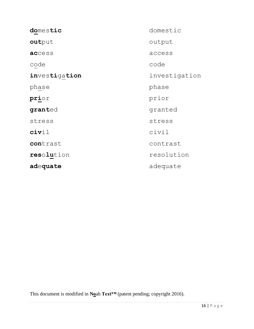| domestic      | domestic      |
|---------------|---------------|
| output        | output        |
| access        | access        |
| code          | code          |
| investigation | investigation |
| phase         | phase         |
| prior         | prior         |
| granted       | granted       |
| stress        | stress        |
| civil         | civil         |
| contrast      | contrast      |
| resolution    | resolution    |
| adequate      | adequate      |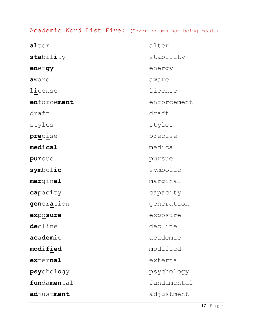Academic Word List Five: (Cover column not being read.)

| alter               | alter       |
|---------------------|-------------|
| stability           | stability   |
| energy              | energy      |
| aware               | aware       |
| license             | license     |
| enforcement         | enforcement |
| draft               | draft       |
| styles              | styles      |
| precise             | precise     |
| $\verb medical $    | medical     |
| pursue              | pursue      |
| symbolic            | symbolic    |
| marginal            | marginal    |
| capacity            | capacity    |
| generation          | generation  |
| exposure            | exposure    |
| decline             | decline     |
| academic            | academic    |
| $\texttt{modified}$ | modified    |
| external            | external    |
| psychology          | psychology  |
| fundamental         | fundamental |
| adjustment          | adjustment  |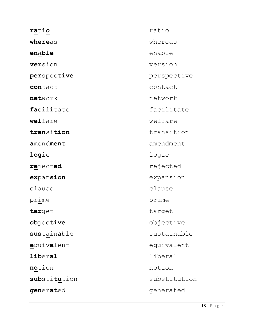| ratio          | ratio        |
|----------------|--------------|
| whereas        | whereas      |
| enable         | enable       |
| version        | version      |
| perspective    | perspective  |
| contact        | contact      |
| network        | network      |
| facilitate     | facilitate   |
| welfare        | welfare      |
| transition     | transition   |
| amendment      | amendment    |
| logic          | logic        |
| rejected       | rejected     |
| expansion      | expansion    |
| clause         | clause       |
| prime          | prime        |
| target         | target       |
| objective      | objective    |
| sustainable    | sustainable  |
| equivalent     | equivalent   |
| <b>liberal</b> | liberal      |
| notion         | notion       |
| substitution   | substitution |
| generated      | generated    |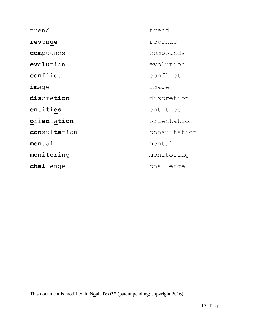| trend            | trend        |
|------------------|--------------|
| revenue          | revenue      |
| compounds        | compounds    |
| evolution        | evolution    |
| conflict         | conflict     |
| $\texttt{image}$ | image        |
| discretion       | discretion   |
| entities         | entities     |
| orientation      | orientation  |
| consultation     | consultation |
| mental           | mental       |
| monitoring       | monitoring   |
| challenge        | challenge    |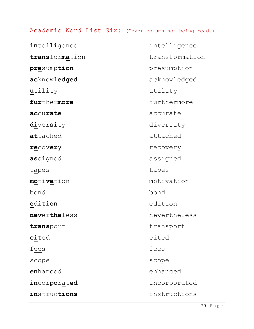#### Academic Word List Six: (Cover column not being read.)

**intelligence** intelligence **trans**for**ma**tion transformation **pre**sump**tion** presumption **ac**knowl**edged** acknowledged **u**til**i**ty utility **fur**thermore furthermore **ac**cu**rate** accurate **di**ver**si**ty diversity **at**tached attached **re**cov**er**y recovery **as**signed assigned tapes tapes **mo**ti**va**tion motivation bond bond **e**di**tion** edition **nev**ertheless nevertheless transport transport **cit**ed cited fees fees scope scope scope **en**hanced enhanced **in**cor**po**rat**ed** incorporated **in**struc**tions** instructions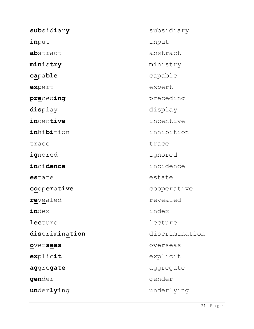| subsidiary     | subsidiary     |
|----------------|----------------|
| input          | input          |
| abstract       | abstract       |
| ministry       | ministry       |
| capable        | capable        |
| expert         | expert         |
| preceding      | preceding      |
| display        | display        |
| incentive      | incentive      |
| inhibition     | inhibition     |
| trace          | trace          |
| ignored        | ignored        |
| incidence      | incidence      |
| estate         | estate         |
| cooperative    | cooperative    |
| revealed       | revealed       |
| index          | index          |
| <b>lecture</b> | lecture        |
| discrimination | discrimination |
| overseas       | overseas       |
| explicit       | explicit       |
| aggregate      | aggregate      |
| gender         | gender         |
| underlying     | underlying     |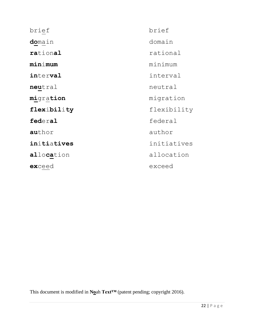| brief       | brief       |
|-------------|-------------|
| domain      | domain      |
| rational    | rational    |
| minimum     | minimum     |
| interval    | interval    |
| neutral     | neutral     |
| migration   | migration   |
| flexibility | flexibility |
| federal     | federal     |
| author      | author      |
| initiatives | initiatives |
| allocation  | allocation  |
| exceed      | exceed      |
|             |             |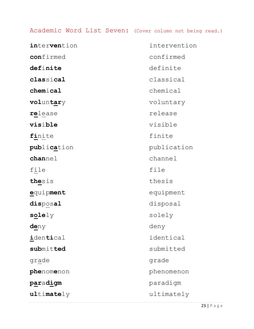## Academic Word List Seven: (Cover column not being read.)

| intervention      | intervention |
|-------------------|--------------|
| confirmed         | confirmed    |
| definite          | definite     |
| classical         | classical    |
| chemical          | chemical     |
| voluntary         | voluntary    |
| release           | release      |
| visible           | visible      |
| finite            | finite       |
| publication       | publication  |
| channel           | channel      |
| file              | file         |
| thesis            | thesis       |
| equipment         | equipment    |
| disposal          | disposal     |
| $\texttt{solely}$ | solely       |
| <u>deny</u>       | deny         |
| identical         | identical    |
| submitted         | submitted    |
| grade             | grade        |
| phenomenon        | phenomenon   |
| paradigm          | paradigm     |
| $\mathtt{ultime}$ | ultimately   |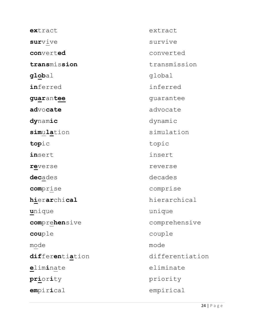| extract         | extract         |
|-----------------|-----------------|
| survive         | survive         |
| converted       | converted       |
| transmission    | transmission    |
| global          | global          |
| inferred        | inferred        |
| guarantee       | guarantee       |
| advocate        | advocate        |
| dynamic         | dynamic         |
| simulation      | simulation      |
| topic           | topic           |
| insert          | insert          |
| reverse         | reverse         |
| decades         | decades         |
| comprise        | comprise        |
| hierarchical    | hierarchical    |
| <u>u</u> nique  | unique          |
| comprehensive   | comprehensive   |
| couple          | couple          |
| mode            | mode            |
| differentiation | differentiation |
| eliminate       | eliminate       |
| priority        | priority        |
| empirical       | empirical       |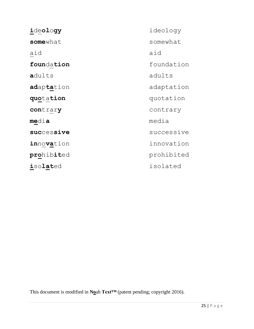| ideology     | ide |
|--------------|-----|
| somewhat     | som |
| aid          | aid |
| foundation   | fou |
| adults       | adu |
| adaptation   | ada |
| quotation    | quo |
| contrary     | con |
| <u>media</u> | med |
| successive   | suc |
| innovation   | inn |
| prohibited   | pro |
| isolated     | iso |

**i**de**ol**o**gy** ideology somewhat **foun**da**tion** foundation **a**dults adults **ad**ap**ta**tion adaptation **quo**ta**tion** quotation **con**trar**y** contrary **me**di**a** media **suc**ces**sive** successive **in**no**va**tion innovation **pro**hib**it**ed prohibited **i**so**lat**ed isolated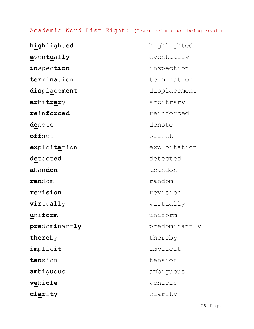#### Academic Word List Eight: (Cover column not being read.)

**high**light**ed** highlighted **e**ven**tu**al**ly** eventually **in**spection inspection **ter**mi**na**tion termination **dis**place**ment** displacement **ar**bi**trar**y arbitrary **re**inforced reinforced **de**note denote **off**set offset **ex**ploi**ta**tion exploitation **de**tect**ed** detected **a**ban**don** abandon **ran**dom random **re**vi**sion** revision **vir**tu**al**ly virtually **u**ni**form** uniform **pre**dom**i**nant**ly** predominantly **there**by thereby **im**plic**it** implicit **ten**sion tension **am**big**u**ous ambiguous **ve**hi**cle** vehicle

**clar**i**ty** clarity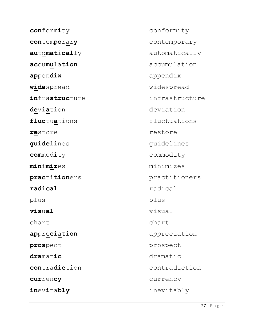**con**form**i**ty conformity **con**tem**po**rar**y** contemporary **au**to**mat**i**cal**ly automatically **ac**cu**mu**la**tion** accumulation **ap**pen**dix** appendix **wide**spread widespread **in**frastructure infrastructure **de**vi**a**tion deviation fluctuations fluctuations restore restore **guide**lines quidelines **com**mod**i**ty commodity **min**i**miz**es minimizes **prac**ti**tion**ers practitioners **rad**i**cal** radical plus plus **vis**u**al** visual chart chart **ap**pre**ci**a**tion** appreciation **pros**pect prospect **dra**mat**ic** dramatic **con**tra**dic**tion contradiction **cur**ren**cy** currency **in**ev**i**ta**bly** inevitably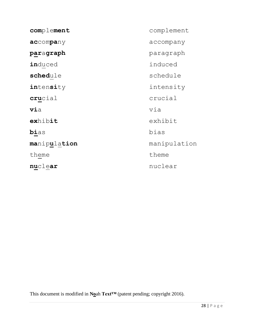| complement   |
|--------------|
| accompany    |
| paragraph    |
| induced      |
| schedule     |
| intensity    |
| crucial      |
| via          |
| exhibit      |
| bias         |
| manipulation |
| theme        |
| nuclear      |
|              |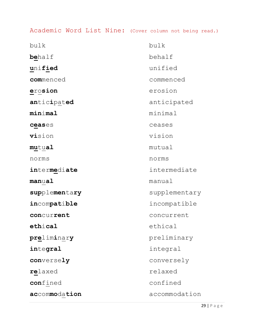Academic Word List Nine: (Cover column not being read.)

| bulk                   | bulk          |
|------------------------|---------------|
| <b>be</b> half         | behalf        |
| unified                | unified       |
| commenced              | commenced     |
| $\verb"erosion"$       | erosion       |
| anticipated            | anticipated   |
| minimal                | minimal       |
| $\texttt{ceases}$      | ceases        |
| <b>vi</b> sion         | vision        |
| <b>mu</b> tu <b>al</b> | mutual        |
| norms                  | norms         |
| intermediate           | intermediate  |
| $\verb manual $        | manual        |
| supplementary          | supplementary |
| incompatible           | incompatible  |
| concurrent             | concurrent    |
| $\mathtt{ethical}$     | ethical       |
| preliminary            | preliminary   |
| integral               | integral      |
| conversely             | conversely    |
| relaxed                | relaxed       |
| confined               | confined      |
| accommodation          | accommodation |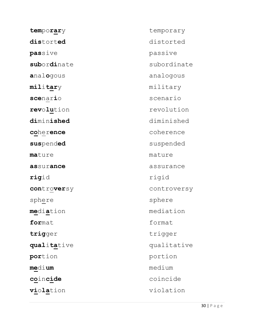| temporary                  | temporary   |
|----------------------------|-------------|
| distorted                  | distorted   |
| passive                    | passive     |
| subordinate                | subordinate |
| <b>a</b> nal <b>o</b> gous | analogous   |
| $\texttt{military}$        | military    |
| scenario                   | scenario    |
| revolution                 | revolution  |
| diminished                 | diminished  |
| coher <b>ence</b>          | coherence   |
| suspended                  | suspended   |
| <b>ma</b> ture             | mature      |
| assurance                  | assurance   |
| rigid                      | rigid       |
| controversy                | controversy |
| sphere                     | sphere      |
| <b>me</b> di <b>a</b> tion | mediation   |
| format                     | format      |
| trigger                    | trigger     |
| qualitative                | qualitative |
| portion                    | portion     |
| <b>me</b> di <b>um</b>     | medium      |
| coincide                   | coincide    |
| <b>viola</b> tion          | violation   |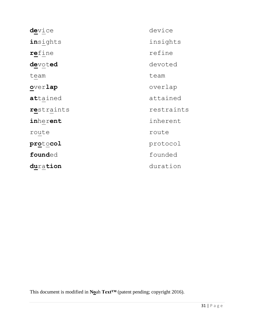| device     | device     |
|------------|------------|
| insights   | insights   |
| refine     | refine     |
| devoted    | devoted    |
| team       | team       |
| overlap    | overlap    |
| attained   | attained   |
| restraints | restraints |
| inherent   | inherent   |
| route      | route      |
| protocol   | protocol   |
| founded    | founded    |
| duration   | duration   |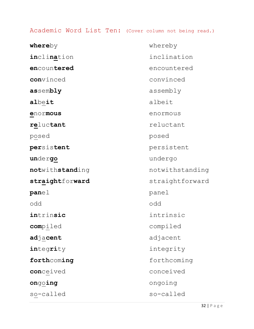#### Academic Word List Ten: (Cover column not being read.)

| whereby         | whereby         |
|-----------------|-----------------|
| inclination     | inclination     |
| encountered     | encountered     |
| convinced       | convinced       |
| assembly        | assembly        |
| albeit          | albeit          |
| enormous        | enormous        |
| reluctant       | reluctant       |
| posed           | posed           |
| persistent      | persistent      |
| undergo         | undergo         |
| notwithstanding | notwithstanding |
| straightforward | straightforward |
| panel           | panel           |
| odd             | odd             |
| intrinsic       | intrinsic       |
| compiled        | compiled        |
| adjacent        | adjacent        |
| integrity       | integrity       |
| forthcoming     | forthcoming     |
| conceived       | conceived       |
| ongoing         | ongoing         |
| so-called       | so-called       |